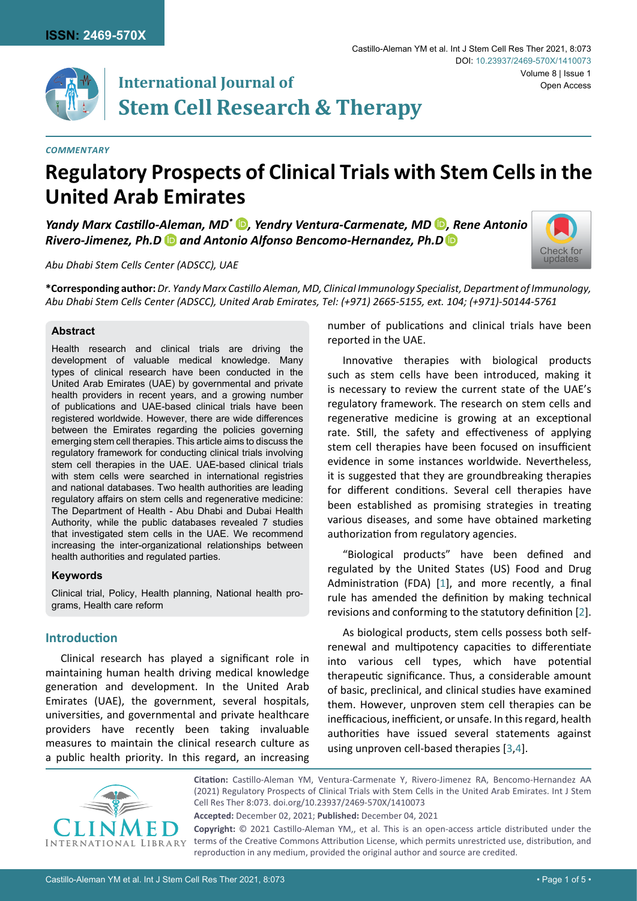

## **International Journal of Stem Cell Research & Therapy**

#### *Commentary*

# **Regulatory Prospects of Clinical Trials with Stem Cells in the United Arab Emirates**

*Yandy Marx Castillo-Aleman[,](https://orcid.org/0000-0001-8169-9914) MD<sup>\*</sup> D, Yendry Ventura-Carmenate, MD<sup>(D</sup>), Rene Antonio Rivero-Jimenez, Ph.Dand Antonio Alfonso Bencomo-Hernandez, Ph.[D](https://orcid.org/0000-0002-6209-0393)*



*Abu Dhabi Stem Cells Center (ADSCC), UAE*

**\*Corresponding author:** *Dr. Yandy Marx Castillo Aleman, MD, Clinical Immunology Specialist, Department of Immunology, Abu Dhabi Stem Cells Center (ADSCC), United Arab Emirates, Tel: (+971) 2665-5155, ext. 104; (+971)-50144-5761*

#### **Abstract**

Health research and clinical trials are driving the development of valuable medical knowledge. Many types of clinical research have been conducted in the United Arab Emirates (UAE) by governmental and private health providers in recent years, and a growing number of publications and UAE-based clinical trials have been registered worldwide. However, there are wide differences between the Emirates regarding the policies governing emerging stem cell therapies. This article aims to discuss the regulatory framework for conducting clinical trials involving stem cell therapies in the UAE. UAE-based clinical trials with stem cells were searched in international registries and national databases. Two health authorities are leading regulatory affairs on stem cells and regenerative medicine: The Department of Health - Abu Dhabi and Dubai Health Authority, while the public databases revealed 7 studies that investigated stem cells in the UAE. We recommend increasing the inter-organizational relationships between health authorities and regulated parties.

#### **Keywords**

Clinical trial, Policy, Health planning, National health programs, Health care reform

## **Introduction**

Clinical research has played a significant role in maintaining human health driving medical knowledge generation and development. In the United Arab Emirates (UAE), the government, several hospitals, universities, and governmental and private healthcare providers have recently been taking invaluable measures to maintain the clinical research culture as a public health priority. In this regard, an increasing number of publications and clinical trials have been reported in the UAE.

Innovative therapies with biological products such as stem cells have been introduced, making it is necessary to review the current state of the UAE's regulatory framework. The research on stem cells and regenerative medicine is growing at an exceptional rate. Still, the safety and effectiveness of applying stem cell therapies have been focused on insufficient evidence in some instances worldwide. Nevertheless, it is suggested that they are groundbreaking therapies for different conditions. Several cell therapies have been established as promising strategies in treating various diseases, and some have obtained marketing authorization from regulatory agencies.

"Biological products" have been defined and regulated by the United States (US) Food and Drug Administration (FDA) [[1](#page-4-0)], and more recently, a final rule has amended the definition by making technical revisions and conforming to the statutory definition [[2](#page-4-1)].

As biological products, stem cells possess both selfrenewal and multipotency capacities to differentiate into various cell types, which have potential therapeutic significance. Thus, a considerable amount of basic, preclinical, and clinical studies have examined them. However, unproven stem cell therapies can be inefficacious, inefficient, or unsafe. In this regard, health authorities have issued several statements against using unproven cell-based therapies [[3](#page-4-2),[4](#page-4-3)].



**Citation:** Castillo-Aleman YM, Ventura-Carmenate Y, Rivero-Jimenez RA, Bencomo-Hernandez AA (2021) Regulatory Prospects of Clinical Trials with Stem Cells in the United Arab Emirates. Int J Stem Cell Res Ther 8:073. [doi.org/10.23937/2469-570X/1410073](https://doi.org/10.23937/2469-570X/1410073)

**Accepted:** December 02, 2021; **Published:** December 04, 2021

**Copyright:** © 2021 Castillo-Aleman YM,, et al. This is an open-access article distributed under the terms of the Creative Commons Attribution License, which permits unrestricted use, distribution, and reproduction in any medium, provided the original author and source are credited.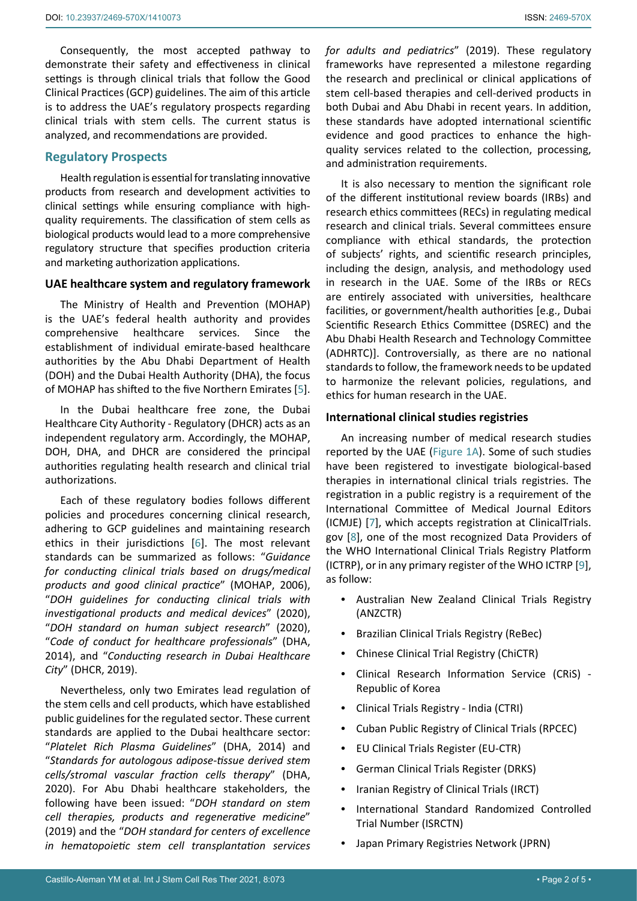Consequently, the most accepted pathway to demonstrate their safety and effectiveness in clinical settings is through clinical trials that follow the Good Clinical Practices (GCP) guidelines. The aim of this article is to address the UAE's regulatory prospects regarding clinical trials with stem cells. The current status is analyzed, and recommendations are provided.

## **Regulatory Prospects**

Health regulation is essential for translating innovative products from research and development activities to clinical settings while ensuring compliance with highquality requirements. The classification of stem cells as biological products would lead to a more comprehensive regulatory structure that specifies production criteria and marketing authorization applications.

#### **UAE healthcare system and regulatory framework**

The Ministry of Health and Prevention (MOHAP) is the UAE's federal health authority and provides comprehensive healthcare services. Since the establishment of individual emirate-based healthcare authorities by the Abu Dhabi Department of Health (DOH) and the Dubai Health Authority (DHA), the focus of MOHAP has shifted to the five Northern Emirates [\[5\]](#page-4-7).

In the Dubai healthcare free zone, the Dubai Healthcare City Authority - Regulatory (DHCR) acts as an independent regulatory arm. Accordingly, the MOHAP, DOH, DHA, and DHCR are considered the principal authorities regulating health research and clinical trial authorizations.

Each of these regulatory bodies follows different policies and procedures concerning clinical research, adhering to GCP guidelines and maintaining research ethics in their jurisdictions [\[6\]](#page-4-8). The most relevant standards can be summarized as follows: "*Guidance for conducting clinical trials based on drugs/medical products and good clinical practice*" (MOHAP, 2006), "*DOH guidelines for conducting clinical trials with investigational products and medical devices*" (2020), "*DOH standard on human subject research*" (2020), "*Code of conduct for healthcare professionals*" (DHA, 2014), and "*Conducting research in Dubai Healthcare City*" (DHCR, 2019).

Nevertheless, only two Emirates lead regulation of the stem cells and cell products, which have established public guidelines for the regulated sector. These current standards are applied to the Dubai healthcare sector: "*Platelet Rich Plasma Guidelines*" (DHA, 2014) and "*Standards for autologous adipose-tissue derived stem cells/stromal vascular fraction cells therapy*" (DHA, 2020). For Abu Dhabi healthcare stakeholders, the following have been issued: "*DOH standard on stem cell therapies, products and regenerative medicine*" (2019) and the "*DOH standard for centers of excellence in hematopoietic stem cell transplantation services*  *for adults and pediatrics*" (2019). These regulatory frameworks have represented a milestone regarding the research and preclinical or clinical applications of stem cell-based therapies and cell-derived products in both Dubai and Abu Dhabi in recent years. In addition, these standards have adopted international scientific evidence and good practices to enhance the highquality services related to the collection, processing, and administration requirements.

It is also necessary to mention the significant role of the different institutional review boards (IRBs) and research ethics committees (RECs) in regulating medical research and clinical trials. Several committees ensure compliance with ethical standards, the protection of subjects' rights, and scientific research principles, including the design, analysis, and methodology used in research in the UAE. Some of the IRBs or RECs are entirely associated with universities, healthcare facilities, or government/health authorities [e.g., Dubai Scientific Research Ethics Committee (DSREC) and the Abu Dhabi Health Research and Technology Committee (ADHRTC)]. Controversially, as there are no national standards to follow, the framework needs to be updated to harmonize the relevant policies, regulations, and ethics for human research in the UAE.

#### **International clinical studies registries**

An increasing number of medical research studies reported by the UAE ([Figure 1A\)](#page-2-0). Some of such studies have been registered to investigate biological-based therapies in international clinical trials registries. The registration in a public registry is a requirement of the International Committee of Medical Journal Editors (ICMJE) [\[7\]](#page-4-4), which accepts registration at ClinicalTrials. gov [[8](#page-4-5)], one of the most recognized Data Providers of the WHO International Clinical Trials Registry Platform (ICTRP), or in any primary register of the WHO ICTRP [\[9\]](#page-4-6), as follow:

- **•**  Australian New Zealand Clinical Trials Registry (ANZCTR)
- **Brazilian Clinical Trials Registry (ReBec)**
- **•**  Chinese Clinical Trial Registry (ChiCTR)
- **•**  Clinical Research Information Service (CRiS) Republic of Korea
- **•**  Clinical Trials Registry India (CTRI)
- **•**  Cuban Public Registry of Clinical Trials (RPCEC)
- **•**  EU Clinical Trials Register (EU-CTR)
- **•**  German Clinical Trials Register (DRKS)
- **Iranian Registry of Clinical Trials (IRCT)**
- **International Standard Randomized Controlled** Trial Number (ISRCTN)
- **•**  Japan Primary Registries Network (JPRN)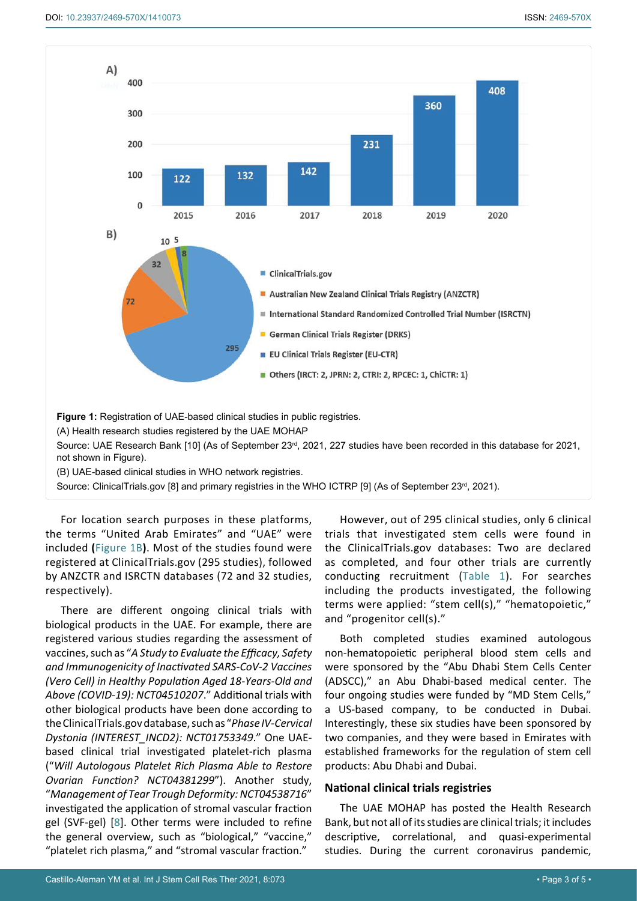<span id="page-2-0"></span>

Source: ClinicalTrials.gov [8] and primary registries in the WHO ICTRP [9] (As of September 23<sup>rd</sup>, 2021).

For location search purposes in these platforms, the terms "United Arab Emirates" and "UAE" were included **(**[Figure 1B](#page-2-0)**)**. Most of the studies found were registered at ClinicalTrials.gov (295 studies), followed by ANZCTR and ISRCTN databases (72 and 32 studies, respectively).

There are different ongoing clinical trials with biological products in the UAE. For example, there are registered various studies regarding the assessment of vaccines, such as "*A Study to Evaluate the Efficacy, Safety and Immunogenicity of Inactivated SARS-CoV-2 Vaccines (Vero Cell) in Healthy Population Aged 18-Years-Old and Above (COVID-19): NCT04510207*." Additional trials with other biological products have been done according to the ClinicalTrials.gov database, such as "*Phase IV-Cervical Dystonia (INTEREST\_INCD2): NCT01753349*." One UAEbased clinical trial investigated platelet-rich plasma ("*Will Autologous Platelet Rich Plasma Able to Restore Ovarian Function? NCT04381299*"). Another study, "*Management of Tear Trough Deformity: NCT04538716*" investigated the application of stromal vascular fraction gel (SVF-gel) [[8](#page-4-5)]. Other terms were included to refine the general overview, such as "biological," "vaccine," "platelet rich plasma," and "stromal vascular fraction."

However, out of 295 clinical studies, only 6 clinical trials that investigated stem cells were found in the ClinicalTrials.gov databases: Two are declared as completed, and four other trials are currently conducting recruitment ([Table 1\)](#page-3-0). For searches including the products investigated, the following terms were applied: "stem cell(s)," "hematopoietic," and "progenitor cell(s)."

Both completed studies examined autologous non-hematopoietic peripheral blood stem cells and were sponsored by the "Abu Dhabi Stem Cells Center (ADSCC)," an Abu Dhabi-based medical center. The four ongoing studies were funded by "MD Stem Cells," a US-based company, to be conducted in Dubai. Interestingly, these six studies have been sponsored by two companies, and they were based in Emirates with established frameworks for the regulation of stem cell products: Abu Dhabi and Dubai.

#### **National clinical trials registries**

The UAE MOHAP has posted the Health Research Bank, but not all of its studies are clinical trials; it includes descriptive, correlational, and quasi-experimental studies. During the current coronavirus pandemic,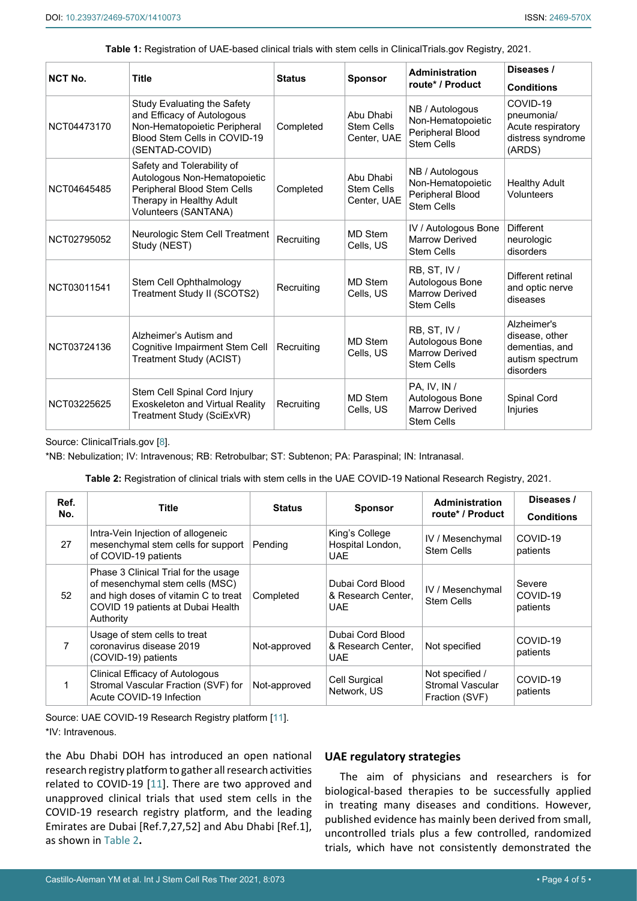<span id="page-3-0"></span>**Table 1:** Registration of UAE-based clinical trials with stem cells in ClinicalTrials.gov Registry, 2021.

| <b>NCT No.</b> | <b>Title</b>                                                                                                                                  | <b>Status</b> | <b>Sponsor</b>                                | <b>Administration</b><br>route* / Product                                     | Diseases /<br><b>Conditions</b>                                                 |
|----------------|-----------------------------------------------------------------------------------------------------------------------------------------------|---------------|-----------------------------------------------|-------------------------------------------------------------------------------|---------------------------------------------------------------------------------|
| NCT04473170    | Study Evaluating the Safety<br>and Efficacy of Autologous<br>Non-Hematopoietic Peripheral<br>Blood Stem Cells in COVID-19<br>(SENTAD-COVID)   | Completed     | Abu Dhabi<br><b>Stem Cells</b><br>Center, UAE | NB / Autologous<br>Non-Hematopoietic<br>Peripheral Blood<br><b>Stem Cells</b> | COVID-19<br>pneumonia/<br>Acute respiratory<br>distress syndrome<br>(ARDS)      |
| NCT04645485    | Safety and Tolerability of<br>Autologous Non-Hematopoietic<br>Peripheral Blood Stem Cells<br>Therapy in Healthy Adult<br>Volunteers (SANTANA) | Completed     | Abu Dhabi<br><b>Stem Cells</b><br>Center, UAE | NB / Autologous<br>Non-Hematopoietic<br>Peripheral Blood<br><b>Stem Cells</b> | <b>Healthy Adult</b><br><b>Volunteers</b>                                       |
| NCT02795052    | Neurologic Stem Cell Treatment<br>Study (NEST)                                                                                                | Recruiting    | MD Stem<br>Cells, US                          | IV / Autologous Bone<br><b>Marrow Derived</b><br><b>Stem Cells</b>            | <b>Different</b><br>neurologic<br>disorders                                     |
| NCT03011541    | Stem Cell Ophthalmology<br>Treatment Study II (SCOTS2)                                                                                        | Recruiting    | MD Stem<br>Cells, US                          | RB, ST, IV /<br>Autologous Bone<br><b>Marrow Derived</b><br><b>Stem Cells</b> | Different retinal<br>and optic nerve<br>diseases                                |
| NCT03724136    | Alzheimer's Autism and<br>Cognitive Impairment Stem Cell<br>Treatment Study (ACIST)                                                           | Recruiting    | <b>MD Stem</b><br>Cells, US                   | RB, ST, IV /<br>Autologous Bone<br><b>Marrow Derived</b><br><b>Stem Cells</b> | Alzheimer's<br>disease, other<br>dementias, and<br>autism spectrum<br>disorders |
| NCT03225625    | Stem Cell Spinal Cord Injury<br><b>Exoskeleton and Virtual Reality</b><br>Treatment Study (SciExVR)                                           | Recruiting    | <b>MD Stem</b><br>Cells, US                   | PA, IV, IN /<br>Autologous Bone<br><b>Marrow Derived</b><br><b>Stem Cells</b> | Spinal Cord<br><b>Injuries</b>                                                  |

Source: ClinicalTrials.gov [\[8](#page-4-5)].

\*NB: Nebulization; IV: Intravenous; RB: Retrobulbar; ST: Subtenon; PA: Paraspinal; IN: Intranasal.

<span id="page-3-1"></span>**Table 2:** Registration of clinical trials with stem cells in the UAE COVID-19 National Research Registry, 2021.

| Ref.<br>No. | Title                                                                                                                                                             | <b>Status</b> | <b>Sponsor</b>                                       | <b>Administration</b><br>route* / Product             | Diseases /<br><b>Conditions</b> |
|-------------|-------------------------------------------------------------------------------------------------------------------------------------------------------------------|---------------|------------------------------------------------------|-------------------------------------------------------|---------------------------------|
| 27          | Intra-Vein Injection of allogeneic<br>mesenchymal stem cells for support<br>of COVID-19 patients                                                                  | Pending       | King's College<br>Hospital London,<br><b>UAE</b>     | IV / Mesenchymal<br>Stem Cells                        | COVID-19<br>patients            |
| 52          | Phase 3 Clinical Trial for the usage<br>of mesenchymal stem cells (MSC)<br>and high doses of vitamin C to treat<br>COVID 19 patients at Dubai Health<br>Authority | Completed     | Dubai Cord Blood<br>& Research Center.<br><b>UAE</b> | IV / Mesenchymal<br><b>Stem Cells</b>                 | Severe<br>COVID-19<br>patients  |
| 7           | Usage of stem cells to treat<br>coronavirus disease 2019<br>(COVID-19) patients                                                                                   | Not-approved  | Dubai Cord Blood<br>& Research Center,<br><b>UAE</b> | Not specified                                         | COVID-19<br>patients            |
|             | Clinical Efficacy of Autologous<br>Stromal Vascular Fraction (SVF) for<br>Acute COVID-19 Infection                                                                | Not-approved  | Cell Surgical<br>Network, US                         | Not specified /<br>Stromal Vascular<br>Fraction (SVF) | COVID-19<br>patients            |

Source: UAE COVID-19 Research Registry platform [[11](#page-4-9)]. \*IV: Intravenous.

the Abu Dhabi DOH has introduced an open national research registry platform to gather all research activities related to COVID-19 [[11](#page-4-9)]. There are two approved and unapproved clinical trials that used stem cells in the COVID-19 research registry platform, and the leading Emirates are Dubai [Ref.7,27,52] and Abu Dhabi [Ref.1], as shown in [Table 2](#page-3-1)**.**

## **UAE regulatory strategies**

The aim of physicians and researchers is for biological-based therapies to be successfully applied in treating many diseases and conditions. However, published evidence has mainly been derived from small, uncontrolled trials plus a few controlled, randomized trials, which have not consistently demonstrated the